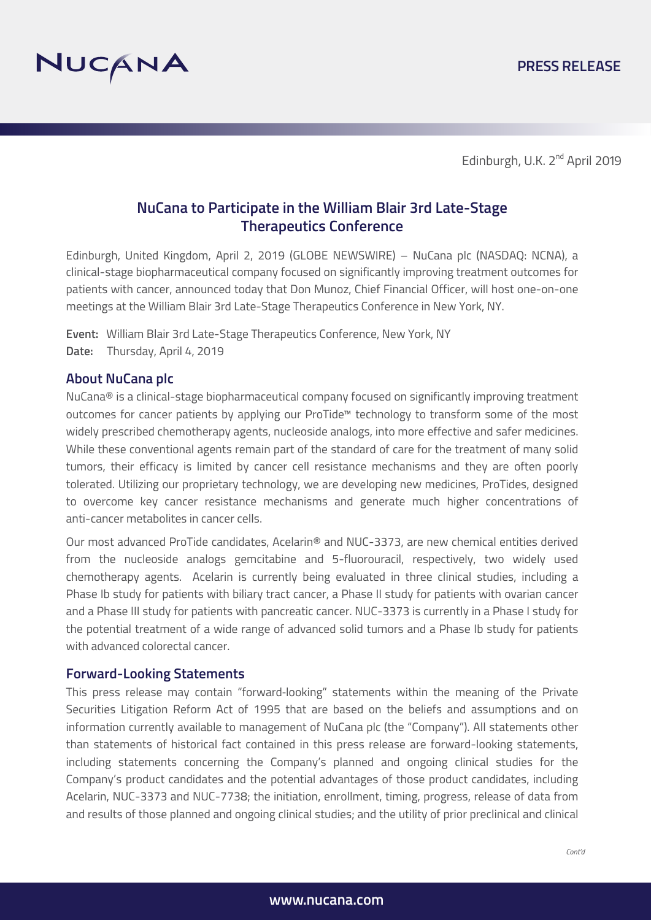

Edinburgh, U.K. 2<sup>nd</sup> April 2019

# **NuCana to Participate in the William Blair 3rd Late-Stage Therapeutics Conference**

Edinburgh, United Kingdom, April 2, 2019 (GLOBE NEWSWIRE) – NuCana plc (NASDAQ: NCNA), a clinical-stage biopharmaceutical company focused on significantly improving treatment outcomes for patients with cancer, announced today that Don Munoz, Chief Financial Officer, will host one-on-one meetings at the William Blair 3rd Late-Stage Therapeutics Conference in New York, NY.

**Event:** William Blair 3rd Late-Stage Therapeutics Conference, New York, NY **Date:** Thursday, April 4, 2019

### **About NuCana plc**

NuCana® is a clinical-stage biopharmaceutical company focused on significantly improving treatment outcomes for cancer patients by applying our ProTide™ technology to transform some of the most widely prescribed chemotherapy agents, nucleoside analogs, into more effective and safer medicines. While these conventional agents remain part of the standard of care for the treatment of many solid tumors, their efficacy is limited by cancer cell resistance mechanisms and they are often poorly tolerated. Utilizing our proprietary technology, we are developing new medicines, ProTides, designed to overcome key cancer resistance mechanisms and generate much higher concentrations of anti-cancer metabolites in cancer cells.

Our most advanced ProTide candidates, Acelarin® and NUC-3373, are new chemical entities derived from the nucleoside analogs gemcitabine and 5-fluorouracil, respectively, two widely used chemotherapy agents. Acelarin is currently being evaluated in three clinical studies, including a Phase Ib study for patients with biliary tract cancer, a Phase II study for patients with ovarian cancer and a Phase III study for patients with pancreatic cancer. NUC-3373 is currently in a Phase I study for the potential treatment of a wide range of advanced solid tumors and a Phase Ib study for patients with advanced colorectal cancer.

#### **Forward-Looking Statements**

This press release may contain "forward-looking" statements within the meaning of the Private Securities Litigation Reform Act of 1995 that are based on the beliefs and assumptions and on information currently available to management of NuCana plc (the "Company"). All statements other than statements of historical fact contained in this press release are forward-looking statements, including statements concerning the Company's planned and ongoing clinical studies for the Company's product candidates and the potential advantages of those product candidates, including Acelarin, NUC-3373 and NUC-7738; the initiation, enrollment, timing, progress, release of data from and results of those planned and ongoing clinical studies; and the utility of prior preclinical and clinical